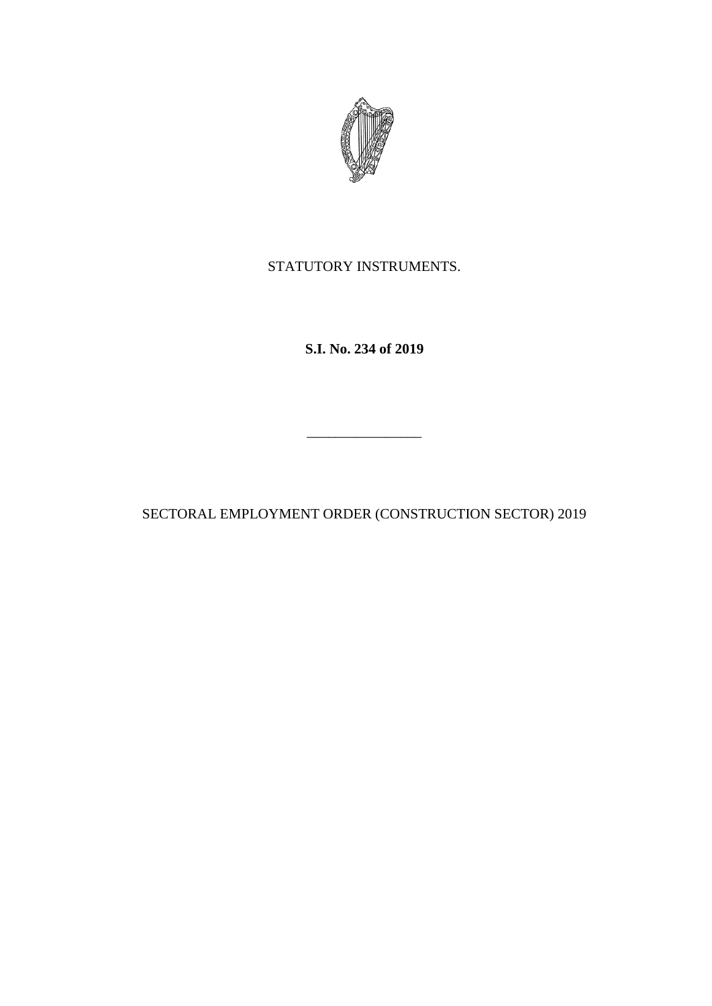

STATUTORY INSTRUMENTS.

**S.I. No. 234 of 2019**

SECTORAL EMPLOYMENT ORDER (CONSTRUCTION SECTOR) 2019

\_\_\_\_\_\_\_\_\_\_\_\_\_\_\_\_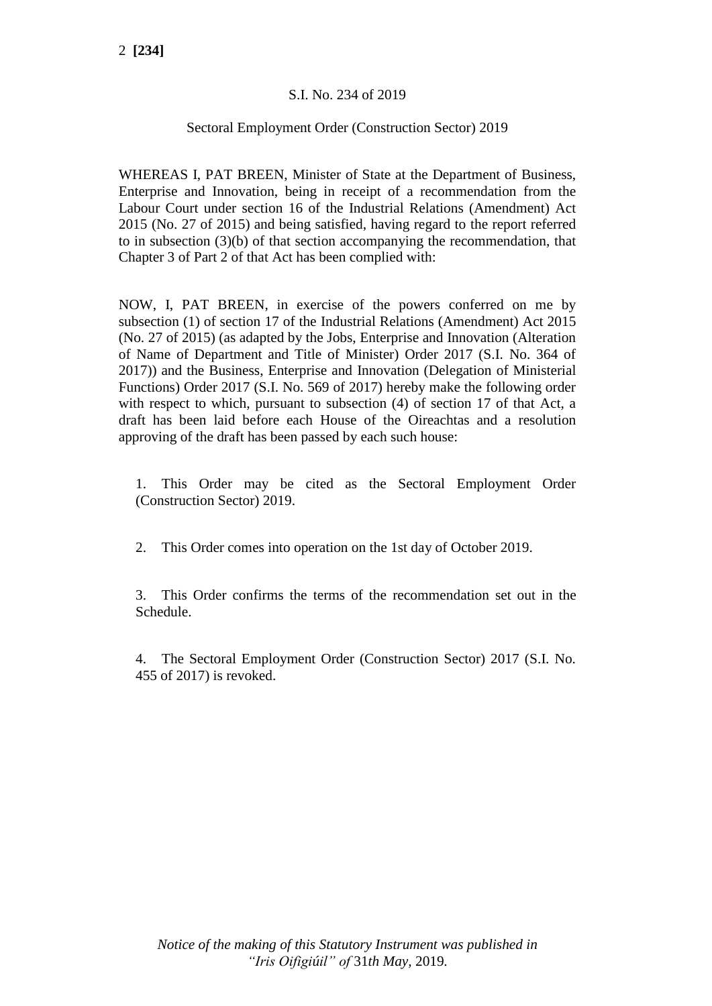# S.I. No. 234 of 2019

### Sectoral Employment Order (Construction Sector) 2019

WHEREAS I, PAT BREEN, Minister of State at the Department of Business, Enterprise and Innovation, being in receipt of a recommendation from the Labour Court under section 16 of the Industrial Relations (Amendment) Act 2015 (No. 27 of 2015) and being satisfied, having regard to the report referred to in subsection (3)(b) of that section accompanying the recommendation, that Chapter 3 of Part 2 of that Act has been complied with:

NOW, I, PAT BREEN, in exercise of the powers conferred on me by subsection (1) of section 17 of the Industrial Relations (Amendment) Act 2015 (No. 27 of 2015) (as adapted by the Jobs, Enterprise and Innovation (Alteration of Name of Department and Title of Minister) Order 2017 (S.I. No. 364 of 2017)) and the Business, Enterprise and Innovation (Delegation of Ministerial Functions) Order 2017 (S.I. No. 569 of 2017) hereby make the following order with respect to which, pursuant to subsection (4) of section 17 of that Act, a draft has been laid before each House of the Oireachtas and a resolution approving of the draft has been passed by each such house:

1. This Order may be cited as the Sectoral Employment Order (Construction Sector) 2019.

2. This Order comes into operation on the 1st day of October 2019.

3. This Order confirms the terms of the recommendation set out in the Schedule.

4. The Sectoral Employment Order (Construction Sector) 2017 (S.I. No. 455 of 2017) is revoked.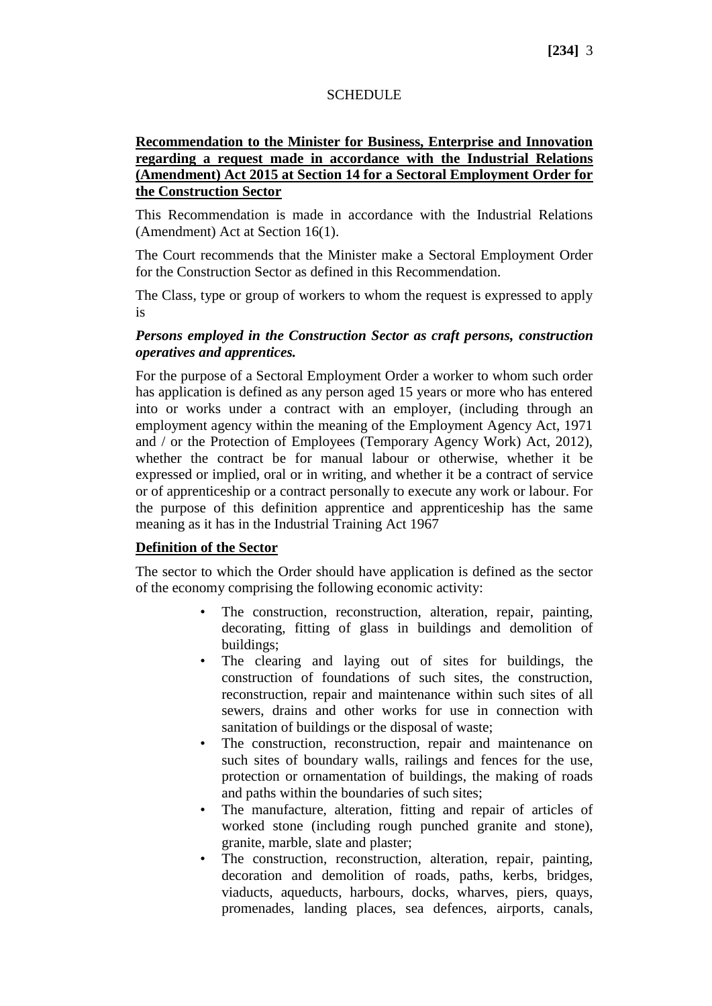### **SCHEDULE**

### **Recommendation to the Minister for Business, Enterprise and Innovation regarding a request made in accordance with the Industrial Relations (Amendment) Act 2015 at Section 14 for a Sectoral Employment Order for the Construction Sector**

This Recommendation is made in accordance with the Industrial Relations (Amendment) Act at Section 16(1).

The Court recommends that the Minister make a Sectoral Employment Order for the Construction Sector as defined in this Recommendation.

The Class, type or group of workers to whom the request is expressed to apply is

### *Persons employed in the Construction Sector as craft persons, construction operatives and apprentices.*

For the purpose of a Sectoral Employment Order a worker to whom such order has application is defined as any person aged 15 years or more who has entered into or works under a contract with an employer, (including through an employment agency within the meaning of the Employment Agency Act, 1971 and / or the Protection of Employees (Temporary Agency Work) Act, 2012), whether the contract be for manual labour or otherwise, whether it be expressed or implied, oral or in writing, and whether it be a contract of service or of apprenticeship or a contract personally to execute any work or labour. For the purpose of this definition apprentice and apprenticeship has the same meaning as it has in the Industrial Training Act 1967

### **Definition of the Sector**

The sector to which the Order should have application is defined as the sector of the economy comprising the following economic activity:

- The construction, reconstruction, alteration, repair, painting, decorating, fitting of glass in buildings and demolition of buildings;
- The clearing and laying out of sites for buildings, the construction of foundations of such sites, the construction, reconstruction, repair and maintenance within such sites of all sewers, drains and other works for use in connection with sanitation of buildings or the disposal of waste;
- The construction, reconstruction, repair and maintenance on such sites of boundary walls, railings and fences for the use, protection or ornamentation of buildings, the making of roads and paths within the boundaries of such sites;
- The manufacture, alteration, fitting and repair of articles of worked stone (including rough punched granite and stone), granite, marble, slate and plaster;
- The construction, reconstruction, alteration, repair, painting, decoration and demolition of roads, paths, kerbs, bridges, viaducts, aqueducts, harbours, docks, wharves, piers, quays, promenades, landing places, sea defences, airports, canals,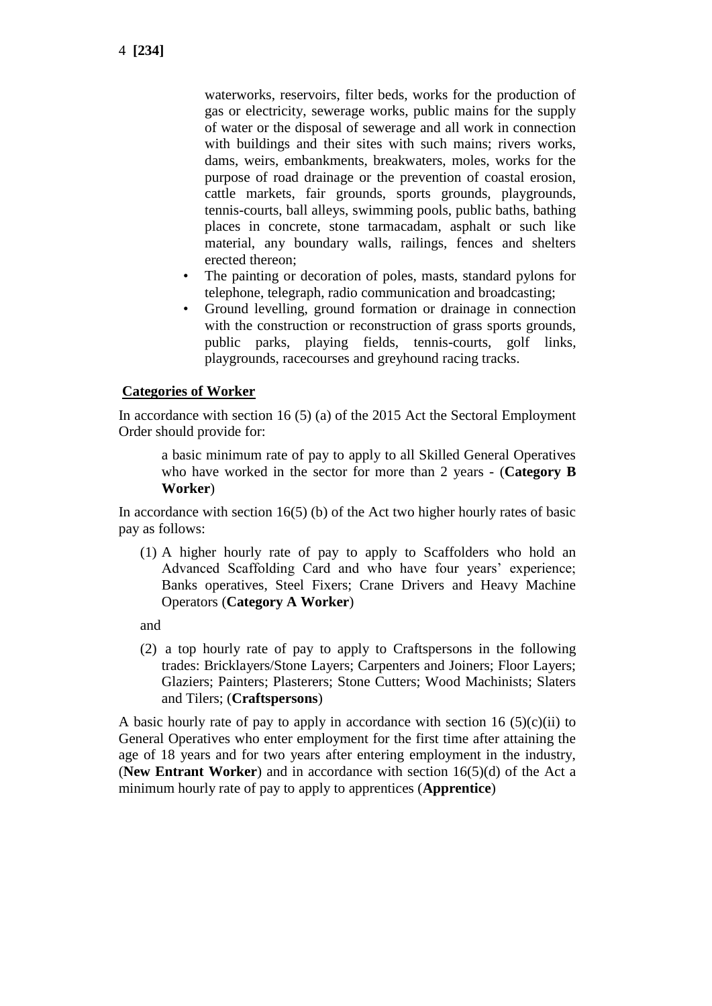waterworks, reservoirs, filter beds, works for the production of gas or electricity, sewerage works, public mains for the supply of water or the disposal of sewerage and all work in connection with buildings and their sites with such mains; rivers works, dams, weirs, embankments, breakwaters, moles, works for the purpose of road drainage or the prevention of coastal erosion, cattle markets, fair grounds, sports grounds, playgrounds, tennis-courts, ball alleys, swimming pools, public baths, bathing places in concrete, stone tarmacadam, asphalt or such like material, any boundary walls, railings, fences and shelters erected thereon;

- The painting or decoration of poles, masts, standard pylons for telephone, telegraph, radio communication and broadcasting;
- Ground levelling, ground formation or drainage in connection with the construction or reconstruction of grass sports grounds, public parks, playing fields, tennis-courts, golf links, playgrounds, racecourses and greyhound racing tracks.

#### **Categories of Worker**

In accordance with section 16 (5) (a) of the 2015 Act the Sectoral Employment Order should provide for:

a basic minimum rate of pay to apply to all Skilled General Operatives who have worked in the sector for more than 2 years - (**Category B Worker**)

In accordance with section  $16(5)$  (b) of the Act two higher hourly rates of basic pay as follows:

(1) A higher hourly rate of pay to apply to Scaffolders who hold an Advanced Scaffolding Card and who have four years' experience; Banks operatives, Steel Fixers; Crane Drivers and Heavy Machine Operators (**Category A Worker**)

and

(2) a top hourly rate of pay to apply to Craftspersons in the following trades: Bricklayers/Stone Layers; Carpenters and Joiners; Floor Layers; Glaziers; Painters; Plasterers; Stone Cutters; Wood Machinists; Slaters and Tilers; (**Craftspersons**)

A basic hourly rate of pay to apply in accordance with section 16  $(5)(c)(ii)$  to General Operatives who enter employment for the first time after attaining the age of 18 years and for two years after entering employment in the industry, (**New Entrant Worker**) and in accordance with section 16(5)(d) of the Act a minimum hourly rate of pay to apply to apprentices (**Apprentice**)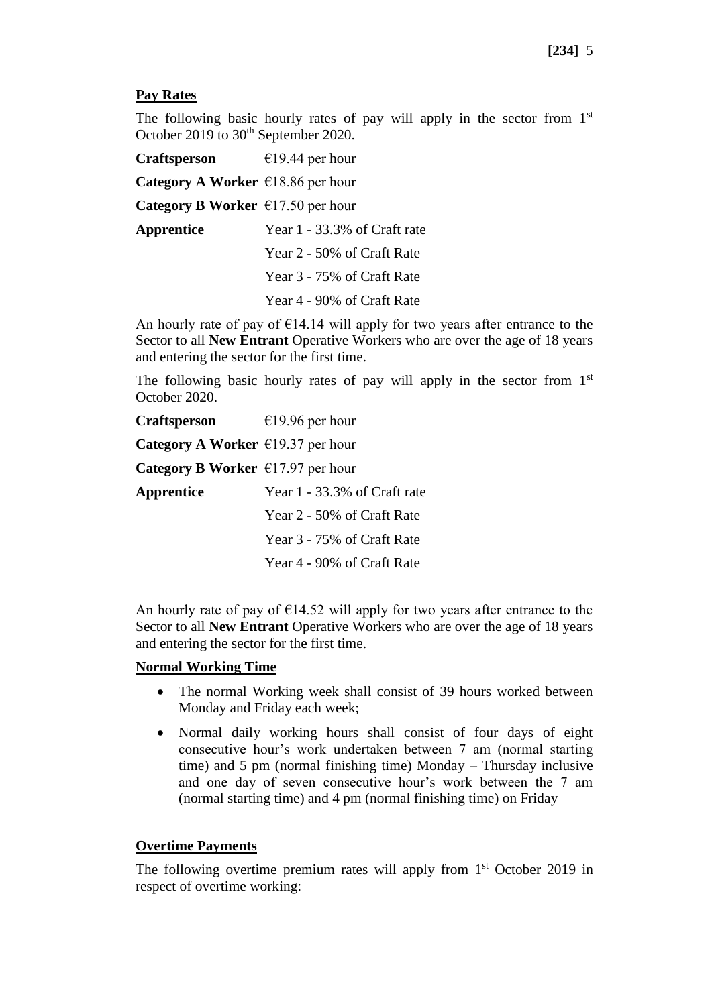## **Pay Rates**

The following basic hourly rates of pay will apply in the sector from  $1<sup>st</sup>$ October 2019 to 30<sup>th</sup> September 2020.

**Craftsperson** €19.44 per hour **Category A Worker** €18.86 per hour **Category B Worker** €17.50 per hour **Apprentice** Year 1 - 33.3% of Craft rate Year 2 - 50% of Craft Rate Year 3 - 75% of Craft Rate Year 4 - 90% of Craft Rate

An hourly rate of pay of  $E14.14$  will apply for two years after entrance to the Sector to all **New Entrant** Operative Workers who are over the age of 18 years and entering the sector for the first time.

The following basic hourly rates of pay will apply in the sector from  $1<sup>st</sup>$ October 2020.

| <b>Craftsperson</b>                         | €19.96 per hour              |
|---------------------------------------------|------------------------------|
| Category A Worker $\epsilon$ 19.37 per hour |                              |
| Category B Worker $\epsilon$ 17.97 per hour |                              |
| Apprentice                                  | Year 1 - 33.3% of Craft rate |
|                                             | Year 2 - 50% of Craft Rate   |
|                                             | Year 3 - 75% of Craft Rate   |
|                                             | Year 4 - 90% of Craft Rate   |

An hourly rate of pay of  $E14.52$  will apply for two years after entrance to the Sector to all **New Entrant** Operative Workers who are over the age of 18 years and entering the sector for the first time.

### **Normal Working Time**

- The normal Working week shall consist of 39 hours worked between Monday and Friday each week;
- Normal daily working hours shall consist of four days of eight consecutive hour's work undertaken between 7 am (normal starting time) and 5 pm (normal finishing time) Monday – Thursday inclusive and one day of seven consecutive hour's work between the 7 am (normal starting time) and 4 pm (normal finishing time) on Friday

## **Overtime Payments**

The following overtime premium rates will apply from  $1<sup>st</sup>$  October 2019 in respect of overtime working: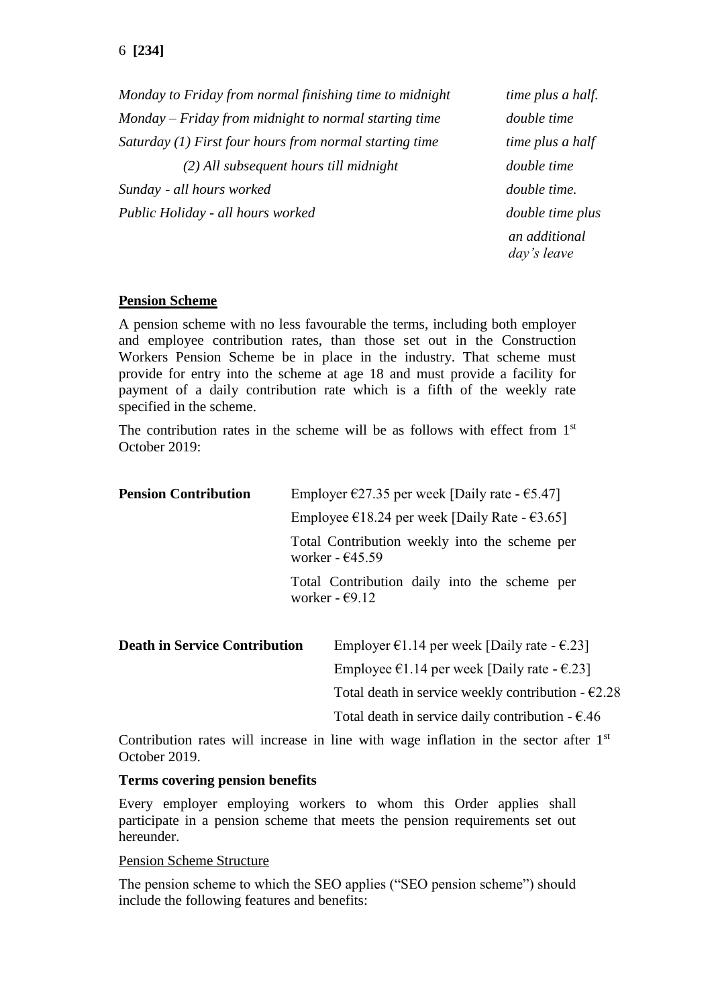*Monday to Friday from normal finishing time to midnight time plus a half. Monday – Friday from midnight to normal starting time double time Saturday (1) First four hours from normal starting time time plus a half (2) All subsequent hours till midnight double time Sunday - all hours worked* double time. *Public Holiday - all hours worked double time plus an additional* 

*day's leave*

### **Pension Scheme**

A pension scheme with no less favourable the terms, including both employer and employee contribution rates, than those set out in the Construction Workers Pension Scheme be in place in the industry. That scheme must provide for entry into the scheme at age 18 and must provide a facility for payment of a daily contribution rate which is a fifth of the weekly rate specified in the scheme.

The contribution rates in the scheme will be as follows with effect from  $1<sup>st</sup>$ October 2019:

| <b>Pension Contribution</b>          | Employer $\epsilon$ 27.35 per week [Daily rate - $\epsilon$ 5.47]        |                                                                            |
|--------------------------------------|--------------------------------------------------------------------------|----------------------------------------------------------------------------|
|                                      |                                                                          | Employee $\epsilon$ 18.24 per week [Daily Rate - $\epsilon$ 3.65]          |
|                                      |                                                                          | Total Contribution weekly into the scheme per<br>worker - $\epsilon$ 45.59 |
|                                      | Total Contribution daily into the scheme per<br>worker - $\epsilon$ 9.12 |                                                                            |
| <b>Death in Service Contribution</b> |                                                                          | Employer $\epsilon$ 1.14 per week [Daily rate - $\epsilon$ .23]            |
|                                      |                                                                          | Employee $\epsilon$ 1.14 per week [Daily rate - $\epsilon$ .23]            |
|                                      |                                                                          | Total death in service weekly contribution $-62.28$                        |

Contribution rates will increase in line with wage inflation in the sector after  $1<sup>st</sup>$ October 2019.

Total death in service daily contribution  $- \epsilon$ .46

### **Terms covering pension benefits**

Every employer employing workers to whom this Order applies shall participate in a pension scheme that meets the pension requirements set out hereunder.

#### Pension Scheme Structure

The pension scheme to which the SEO applies ("SEO pension scheme") should include the following features and benefits: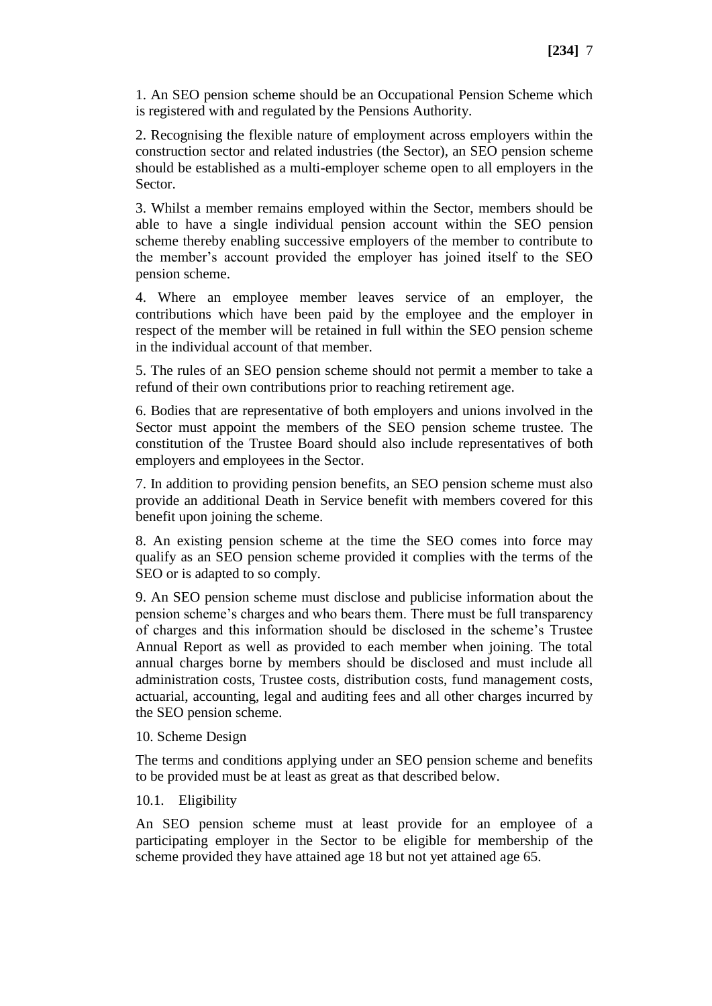1. An SEO pension scheme should be an Occupational Pension Scheme which is registered with and regulated by the Pensions Authority.

2. Recognising the flexible nature of employment across employers within the construction sector and related industries (the Sector), an SEO pension scheme should be established as a multi-employer scheme open to all employers in the Sector.

3. Whilst a member remains employed within the Sector, members should be able to have a single individual pension account within the SEO pension scheme thereby enabling successive employers of the member to contribute to the member's account provided the employer has joined itself to the SEO pension scheme.

4. Where an employee member leaves service of an employer, the contributions which have been paid by the employee and the employer in respect of the member will be retained in full within the SEO pension scheme in the individual account of that member.

5. The rules of an SEO pension scheme should not permit a member to take a refund of their own contributions prior to reaching retirement age.

6. Bodies that are representative of both employers and unions involved in the Sector must appoint the members of the SEO pension scheme trustee. The constitution of the Trustee Board should also include representatives of both employers and employees in the Sector.

7. In addition to providing pension benefits, an SEO pension scheme must also provide an additional Death in Service benefit with members covered for this benefit upon joining the scheme.

8. An existing pension scheme at the time the SEO comes into force may qualify as an SEO pension scheme provided it complies with the terms of the SEO or is adapted to so comply.

9. An SEO pension scheme must disclose and publicise information about the pension scheme's charges and who bears them. There must be full transparency of charges and this information should be disclosed in the scheme's Trustee Annual Report as well as provided to each member when joining. The total annual charges borne by members should be disclosed and must include all administration costs, Trustee costs, distribution costs, fund management costs, actuarial, accounting, legal and auditing fees and all other charges incurred by the SEO pension scheme.

### 10. Scheme Design

The terms and conditions applying under an SEO pension scheme and benefits to be provided must be at least as great as that described below.

### 10.1. Eligibility

An SEO pension scheme must at least provide for an employee of a participating employer in the Sector to be eligible for membership of the scheme provided they have attained age 18 but not yet attained age 65.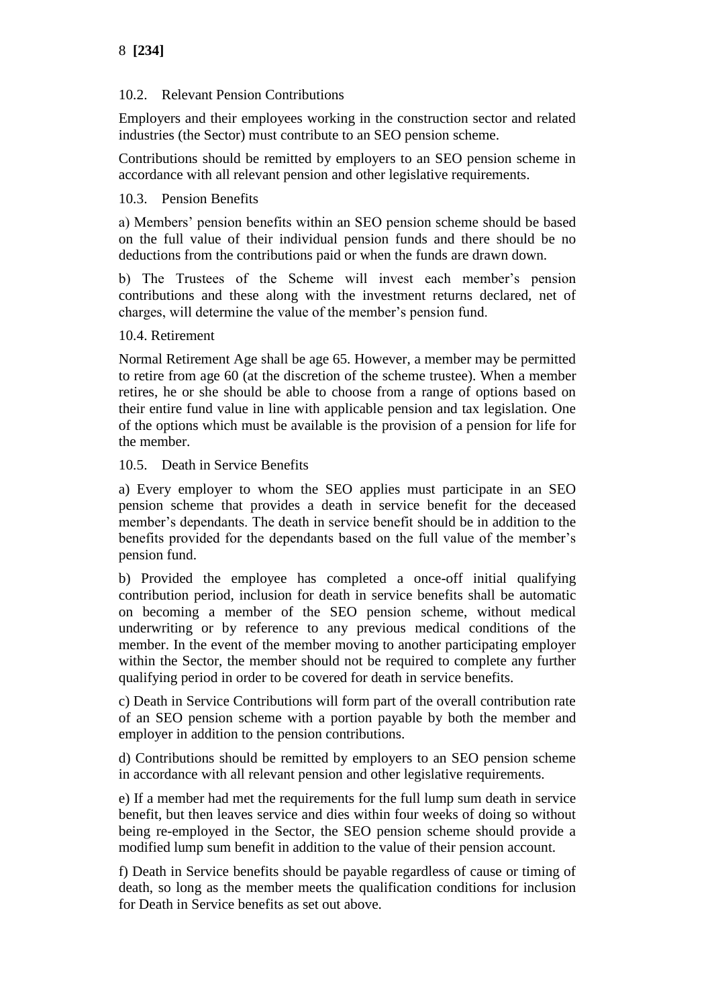# 10.2. Relevant Pension Contributions

Employers and their employees working in the construction sector and related industries (the Sector) must contribute to an SEO pension scheme.

Contributions should be remitted by employers to an SEO pension scheme in accordance with all relevant pension and other legislative requirements.

# 10.3. Pension Benefits

a) Members' pension benefits within an SEO pension scheme should be based on the full value of their individual pension funds and there should be no deductions from the contributions paid or when the funds are drawn down.

b) The Trustees of the Scheme will invest each member's pension contributions and these along with the investment returns declared, net of charges, will determine the value of the member's pension fund.

## 10.4. Retirement

Normal Retirement Age shall be age 65. However, a member may be permitted to retire from age 60 (at the discretion of the scheme trustee). When a member retires, he or she should be able to choose from a range of options based on their entire fund value in line with applicable pension and tax legislation. One of the options which must be available is the provision of a pension for life for the member.

## 10.5. Death in Service Benefits

a) Every employer to whom the SEO applies must participate in an SEO pension scheme that provides a death in service benefit for the deceased member's dependants. The death in service benefit should be in addition to the benefits provided for the dependants based on the full value of the member's pension fund.

b) Provided the employee has completed a once-off initial qualifying contribution period, inclusion for death in service benefits shall be automatic on becoming a member of the SEO pension scheme, without medical underwriting or by reference to any previous medical conditions of the member. In the event of the member moving to another participating employer within the Sector, the member should not be required to complete any further qualifying period in order to be covered for death in service benefits.

c) Death in Service Contributions will form part of the overall contribution rate of an SEO pension scheme with a portion payable by both the member and employer in addition to the pension contributions.

d) Contributions should be remitted by employers to an SEO pension scheme in accordance with all relevant pension and other legislative requirements.

e) If a member had met the requirements for the full lump sum death in service benefit, but then leaves service and dies within four weeks of doing so without being re-employed in the Sector, the SEO pension scheme should provide a modified lump sum benefit in addition to the value of their pension account.

f) Death in Service benefits should be payable regardless of cause or timing of death, so long as the member meets the qualification conditions for inclusion for Death in Service benefits as set out above.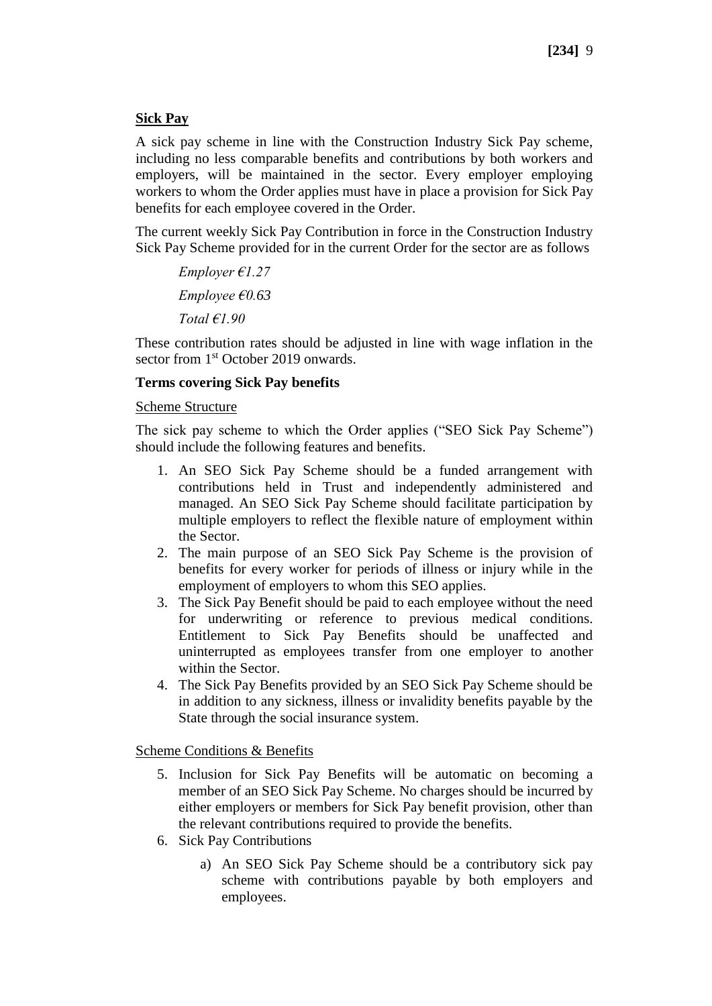### **Sick Pay**

A sick pay scheme in line with the Construction Industry Sick Pay scheme, including no less comparable benefits and contributions by both workers and employers, will be maintained in the sector. Every employer employing workers to whom the Order applies must have in place a provision for Sick Pay benefits for each employee covered in the Order.

The current weekly Sick Pay Contribution in force in the Construction Industry Sick Pay Scheme provided for in the current Order for the sector are as follows

*Employer €1.27 Employee €0.63 Total €1.90*

These contribution rates should be adjusted in line with wage inflation in the sector from 1<sup>st</sup> October 2019 onwards.

### **Terms covering Sick Pay benefits**

### Scheme Structure

The sick pay scheme to which the Order applies ("SEO Sick Pay Scheme") should include the following features and benefits.

- 1. An SEO Sick Pay Scheme should be a funded arrangement with contributions held in Trust and independently administered and managed. An SEO Sick Pay Scheme should facilitate participation by multiple employers to reflect the flexible nature of employment within the Sector.
- 2. The main purpose of an SEO Sick Pay Scheme is the provision of benefits for every worker for periods of illness or injury while in the employment of employers to whom this SEO applies.
- 3. The Sick Pay Benefit should be paid to each employee without the need for underwriting or reference to previous medical conditions. Entitlement to Sick Pay Benefits should be unaffected and uninterrupted as employees transfer from one employer to another within the Sector.
- 4. The Sick Pay Benefits provided by an SEO Sick Pay Scheme should be in addition to any sickness, illness or invalidity benefits payable by the State through the social insurance system.

Scheme Conditions & Benefits

- 5. Inclusion for Sick Pay Benefits will be automatic on becoming a member of an SEO Sick Pay Scheme. No charges should be incurred by either employers or members for Sick Pay benefit provision, other than the relevant contributions required to provide the benefits.
- 6. Sick Pay Contributions
	- a) An SEO Sick Pay Scheme should be a contributory sick pay scheme with contributions payable by both employers and employees.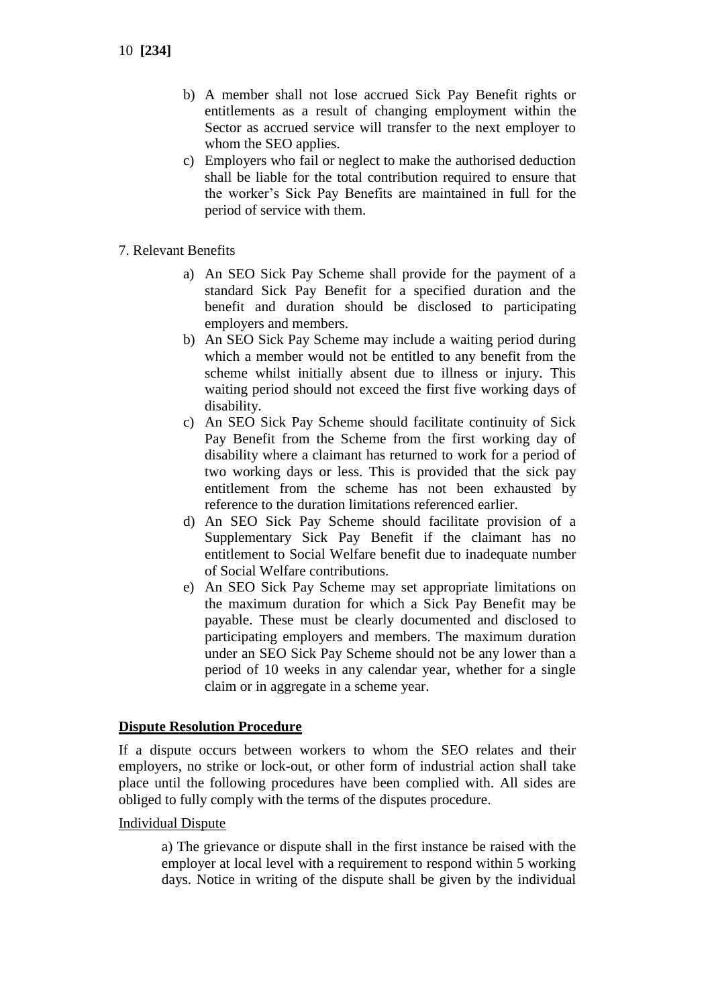- b) A member shall not lose accrued Sick Pay Benefit rights or entitlements as a result of changing employment within the Sector as accrued service will transfer to the next employer to whom the SEO applies.
- c) Employers who fail or neglect to make the authorised deduction shall be liable for the total contribution required to ensure that the worker's Sick Pay Benefits are maintained in full for the period of service with them.
- 7. Relevant Benefits
	- a) An SEO Sick Pay Scheme shall provide for the payment of a standard Sick Pay Benefit for a specified duration and the benefit and duration should be disclosed to participating employers and members.
	- b) An SEO Sick Pay Scheme may include a waiting period during which a member would not be entitled to any benefit from the scheme whilst initially absent due to illness or injury. This waiting period should not exceed the first five working days of disability.
	- c) An SEO Sick Pay Scheme should facilitate continuity of Sick Pay Benefit from the Scheme from the first working day of disability where a claimant has returned to work for a period of two working days or less. This is provided that the sick pay entitlement from the scheme has not been exhausted by reference to the duration limitations referenced earlier.
	- d) An SEO Sick Pay Scheme should facilitate provision of a Supplementary Sick Pay Benefit if the claimant has no entitlement to Social Welfare benefit due to inadequate number of Social Welfare contributions.
	- e) An SEO Sick Pay Scheme may set appropriate limitations on the maximum duration for which a Sick Pay Benefit may be payable. These must be clearly documented and disclosed to participating employers and members. The maximum duration under an SEO Sick Pay Scheme should not be any lower than a period of 10 weeks in any calendar year, whether for a single claim or in aggregate in a scheme year.

### **Dispute Resolution Procedure**

If a dispute occurs between workers to whom the SEO relates and their employers, no strike or lock-out, or other form of industrial action shall take place until the following procedures have been complied with. All sides are obliged to fully comply with the terms of the disputes procedure.

Individual Dispute

a) The grievance or dispute shall in the first instance be raised with the employer at local level with a requirement to respond within 5 working days. Notice in writing of the dispute shall be given by the individual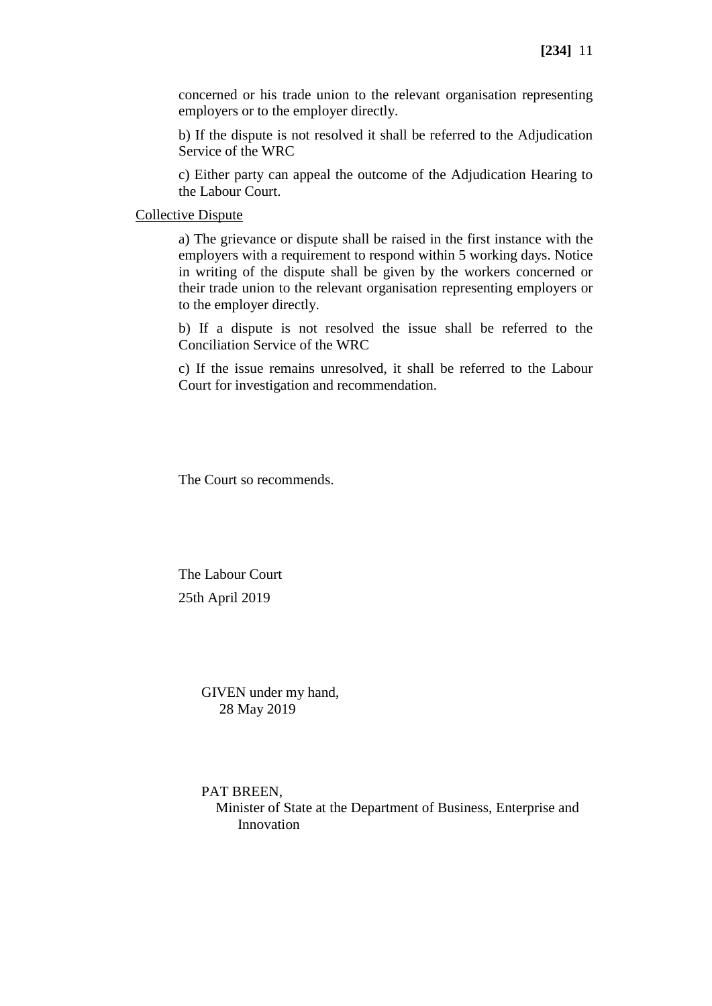concerned or his trade union to the relevant organisation representing employers or to the employer directly.

b) If the dispute is not resolved it shall be referred to the Adjudication Service of the WRC

c) Either party can appeal the outcome of the Adjudication Hearing to the Labour Court.

#### Collective Dispute

a) The grievance or dispute shall be raised in the first instance with the employers with a requirement to respond within 5 working days. Notice in writing of the dispute shall be given by the workers concerned or their trade union to the relevant organisation representing employers or to the employer directly.

b) If a dispute is not resolved the issue shall be referred to the Conciliation Service of the WRC

c) If the issue remains unresolved, it shall be referred to the Labour Court for investigation and recommendation.

The Court so recommends.

The Labour Court 25th April 2019

> GIVEN under my hand, 28 May 2019

#### PAT BREEN,

 Minister of State at the Department of Business, Enterprise and Innovation